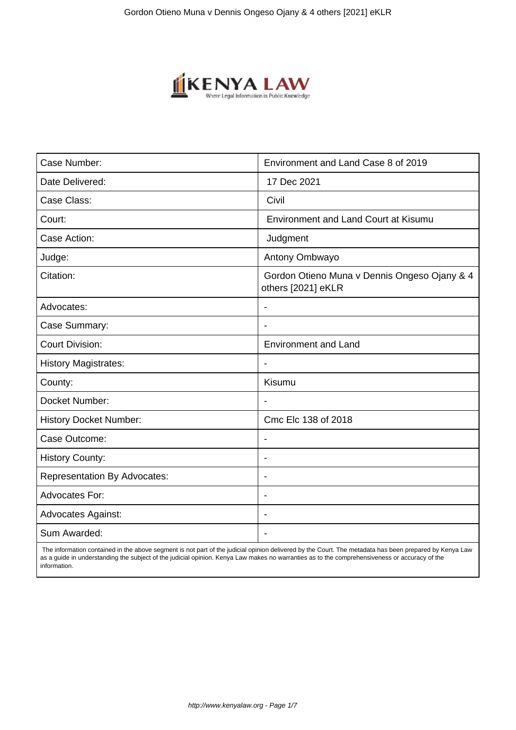

| Case Number:                        | Environment and Land Case 8 of 2019                                |
|-------------------------------------|--------------------------------------------------------------------|
| Date Delivered:                     | 17 Dec 2021                                                        |
| Case Class:                         | Civil                                                              |
| Court:                              | <b>Environment and Land Court at Kisumu</b>                        |
| Case Action:                        | Judgment                                                           |
| Judge:                              | Antony Ombwayo                                                     |
| Citation:                           | Gordon Otieno Muna v Dennis Ongeso Ojany & 4<br>others [2021] eKLR |
| Advocates:                          | $\blacksquare$                                                     |
| Case Summary:                       |                                                                    |
| <b>Court Division:</b>              | <b>Environment and Land</b>                                        |
| <b>History Magistrates:</b>         | $\blacksquare$                                                     |
| County:                             | Kisumu                                                             |
| Docket Number:                      |                                                                    |
| <b>History Docket Number:</b>       | Cmc Elc 138 of 2018                                                |
| Case Outcome:                       |                                                                    |
| <b>History County:</b>              | $\blacksquare$                                                     |
| <b>Representation By Advocates:</b> | $\overline{\phantom{0}}$                                           |
| Advocates For:                      | $\overline{\phantom{a}}$                                           |
| <b>Advocates Against:</b>           |                                                                    |
| Sum Awarded:                        |                                                                    |

 The information contained in the above segment is not part of the judicial opinion delivered by the Court. The metadata has been prepared by Kenya Law as a guide in understanding the subject of the judicial opinion. Kenya Law makes no warranties as to the comprehensiveness or accuracy of the information.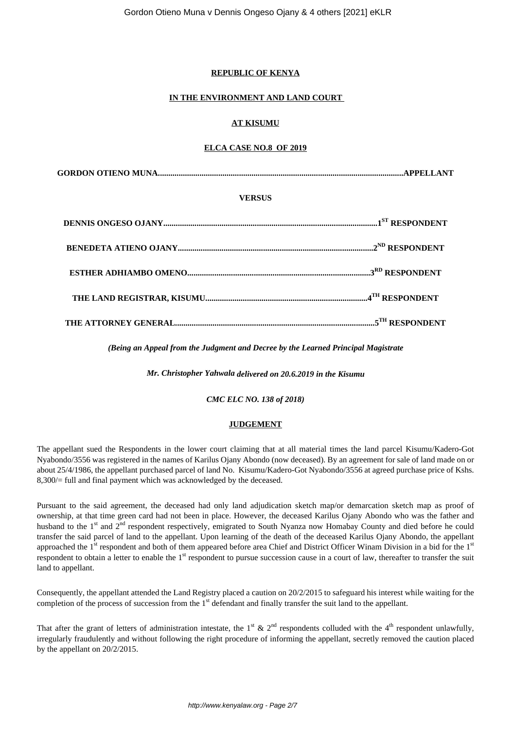# **REPUBLIC OF KENYA**

## **IN THE ENVIRONMENT AND LAND COURT**

## **AT KISUMU**

## **ELCA CASE NO.8 OF 2019**

#### **VERSUS**

*(Being an Appeal from the Judgment and Decree by the Learned Principal Magistrate*

*Mr. Christopher Yahwala delivered on 20.6.2019 in the Kisumu*

*CMC ELC NO. 138 of 2018)*

# **JUDGEMENT**

The appellant sued the Respondents in the lower court claiming that at all material times the land parcel Kisumu/Kadero-Got Nyabondo/3556 was registered in the names of Karilus Ojany Abondo (now deceased). By an agreement for sale of land made on or about 25/4/1986, the appellant purchased parcel of land No. Kisumu/Kadero-Got Nyabondo/3556 at agreed purchase price of Kshs. 8,300/= full and final payment which was acknowledged by the deceased.

Pursuant to the said agreement, the deceased had only land adjudication sketch map/or demarcation sketch map as proof of ownership, at that time green card had not been in place. However, the deceased Karilus Ojany Abondo who was the father and husband to the 1<sup>st</sup> and 2<sup>nd</sup> respondent respectively, emigrated to South Nyanza now Homabay County and died before he could transfer the said parcel of land to the appellant. Upon learning of the death of the deceased Karilus Ojany Abondo, the appellant approached the 1<sup>st</sup> respondent and both of them appeared before area Chief and District Officer Winam Division in a bid for the 1<sup>st</sup> respondent to obtain a letter to enable the  $1<sup>st</sup>$  respondent to pursue succession cause in a court of law, thereafter to transfer the suit land to appellant.

Consequently, the appellant attended the Land Registry placed a caution on 20/2/2015 to safeguard his interest while waiting for the completion of the process of succession from the 1st defendant and finally transfer the suit land to the appellant.

That after the grant of letters of administration intestate, the 1<sup>st</sup> & 2<sup>nd</sup> respondents colluded with the 4<sup>th</sup> respondent unlawfully, irregularly fraudulently and without following the right procedure of informing the appellant, secretly removed the caution placed by the appellant on 20/2/2015.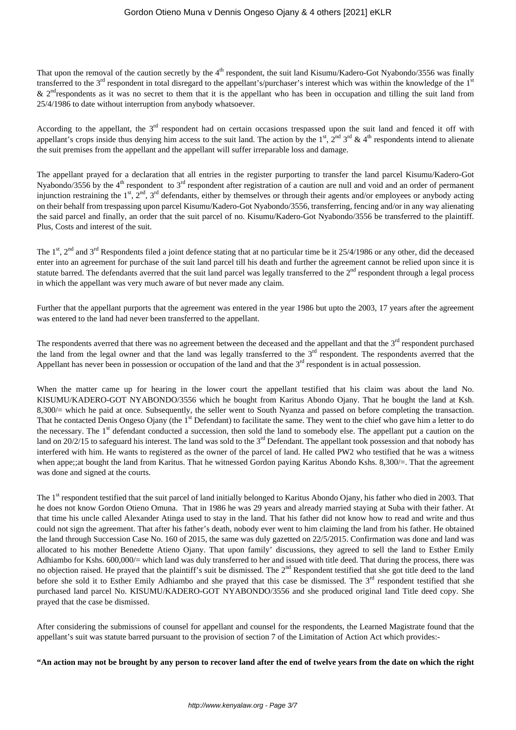That upon the removal of the caution secretly by the  $4<sup>th</sup>$  respondent, the suit land Kisumu/Kadero-Got Nyabondo/3556 was finally transferred to the 3<sup>rd</sup> respondent in total disregard to the appellant's/purchaser's interest which was within the knowledge of the 1<sup>st</sup>  $\&$  2<sup>nd</sup> respondents as it was no secret to them that it is the appellant who has been in occupation and tilling the suit land from 25/4/1986 to date without interruption from anybody whatsoever.

According to the appellant, the  $3<sup>rd</sup>$  respondent had on certain occasions trespassed upon the suit land and fenced it off with appellant's crops inside thus denying him access to the suit land. The action by the  $1^{st}$ ,  $2^{nd}$   $3^{rd}$  &  $4^{th}$  respondents intend to alienate the suit premises from the appellant and the appellant will suffer irreparable loss and damage.

The appellant prayed for a declaration that all entries in the register purporting to transfer the land parcel Kisumu/Kadero-Got Nyabondo/3556 by the 4<sup>th</sup> respondent to 3<sup>rd</sup> respondent after registration of a caution are null and void and an order of permanent injunction restraining the  $1^{st}$ ,  $2^{nd}$ ,  $3^{rd}$  defendants, either by themselves or through their agents and/or employees or anybody acting on their behalf from trespassing upon parcel Kisumu/Kadero-Got Nyabondo/3556, transferring, fencing and/or in any way alienating the said parcel and finally, an order that the suit parcel of no. Kisumu/Kadero-Got Nyabondo/3556 be transferred to the plaintiff. Plus, Costs and interest of the suit.

The 1<sup>st</sup>, 2<sup>nd</sup> and 3<sup>rd</sup> Respondents filed a joint defence stating that at no particular time be it 25/4/1986 or any other, did the deceased enter into an agreement for purchase of the suit land parcel till his death and further the agreement cannot be relied upon since it is statute barred. The defendants averred that the suit land parcel was legally transferred to the 2<sup>nd</sup> respondent through a legal process in which the appellant was very much aware of but never made any claim.

Further that the appellant purports that the agreement was entered in the year 1986 but upto the 2003, 17 years after the agreement was entered to the land had never been transferred to the appellant.

The respondents averred that there was no agreement between the deceased and the appellant and that the 3<sup>rd</sup> respondent purchased the land from the legal owner and that the land was legally transferred to the  $3<sup>rd</sup>$  respondent. The respondents averred that the Appellant has never been in possession or occupation of the land and that the  $3<sup>rd</sup>$  respondent is in actual possession.

When the matter came up for hearing in the lower court the appellant testified that his claim was about the land No. KISUMU/KADERO-GOT NYABONDO/3556 which he bought from Karitus Abondo Ojany. That he bought the land at Ksh. 8,300/= which he paid at once. Subsequently, the seller went to South Nyanza and passed on before completing the transaction. That he contacted Denis Ongeso Ojany (the 1<sup>st</sup> Defendant) to facilitate the same. They went to the chief who gave him a letter to do the necessary. The 1<sup>st</sup> defendant conducted a succession, then sold the land to somebody else. The appellant put a caution on the land on 20/2/15 to safeguard his interest. The land was sold to the 3<sup>rd</sup> Defendant. The appellant took possession and that nobody has interfered with him. He wants to registered as the owner of the parcel of land. He called PW2 who testified that he was a witness when appe:: at bought the land from Karitus. That he witnessed Gordon paying Karitus Abondo Kshs. 8,300/=. That the agreement was done and signed at the courts.

The 1<sup>st</sup> respondent testified that the suit parcel of land initially belonged to Karitus Abondo Ojany, his father who died in 2003. That he does not know Gordon Otieno Omuna. That in 1986 he was 29 years and already married staying at Suba with their father. At that time his uncle called Alexander Atinga used to stay in the land. That his father did not know how to read and write and thus could not sign the agreement. That after his father's death, nobody ever went to him claiming the land from his father. He obtained the land through Succession Case No. 160 of 2015, the same was duly gazetted on 22/5/2015. Confirmation was done and land was allocated to his mother Benedette Atieno Ojany. That upon family' discussions, they agreed to sell the land to Esther Emily Adhiambo for Kshs. 600,000/= which land was duly transferred to her and issued with title deed. That during the process, there was no objection raised. He prayed that the plaintiff's suit be dismissed. The 2<sup>nd</sup> Respondent testified that she got title deed to the land before she sold it to Esther Emily Adhiambo and she prayed that this case be dismissed. The 3<sup>rd</sup> respondent testified that she purchased land parcel No. KISUMU/KADERO-GOT NYABONDO/3556 and she produced original land Title deed copy. She prayed that the case be dismissed.

After considering the submissions of counsel for appellant and counsel for the respondents, the Learned Magistrate found that the appellant's suit was statute barred pursuant to the provision of section 7 of the Limitation of Action Act which provides:-

**"An action may not be brought by any person to recover land after the end of twelve years from the date on which the right**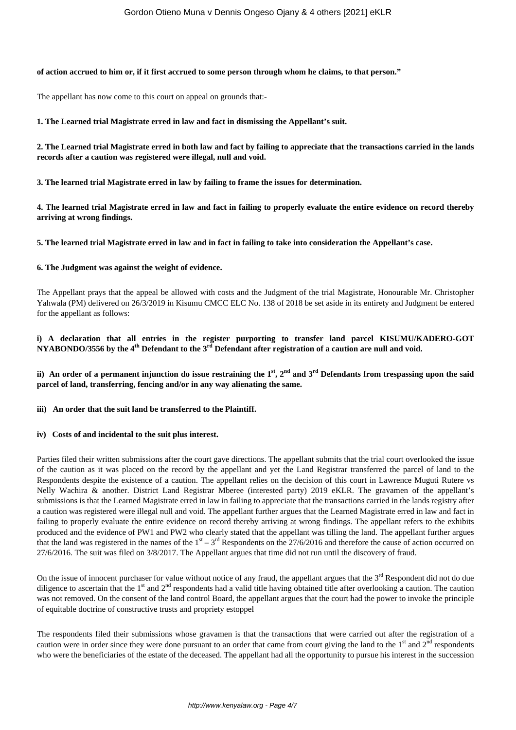#### **of action accrued to him or, if it first accrued to some person through whom he claims, to that person."**

The appellant has now come to this court on appeal on grounds that:-

**1. The Learned trial Magistrate erred in law and fact in dismissing the Appellant's suit.**

**2. The Learned trial Magistrate erred in both law and fact by failing to appreciate that the transactions carried in the lands records after a caution was registered were illegal, null and void.**

**3. The learned trial Magistrate erred in law by failing to frame the issues for determination.** 

**4. The learned trial Magistrate erred in law and fact in failing to properly evaluate the entire evidence on record thereby arriving at wrong findings.**

**5. The learned trial Magistrate erred in law and in fact in failing to take into consideration the Appellant's case.**

#### **6. The Judgment was against the weight of evidence.**

The Appellant prays that the appeal be allowed with costs and the Judgment of the trial Magistrate, Honourable Mr. Christopher Yahwala (PM) delivered on 26/3/2019 in Kisumu CMCC ELC No. 138 of 2018 be set aside in its entirety and Judgment be entered for the appellant as follows:

#### **i) A declaration that all entries in the register purporting to transfer land parcel KISUMU/KADERO-GOT NYABONDO/3556 by the 4th Defendant to the 3rd Defendant after registration of a caution are null and void.**

**ii) An order of a permanent injunction do issue restraining the 1st, 2nd and 3rd Defendants from trespassing upon the said parcel of land, transferring, fencing and/or in any way alienating the same.**

**iii) An order that the suit land be transferred to the Plaintiff.**

#### **iv) Costs of and incidental to the suit plus interest.**

Parties filed their written submissions after the court gave directions. The appellant submits that the trial court overlooked the issue of the caution as it was placed on the record by the appellant and yet the Land Registrar transferred the parcel of land to the Respondents despite the existence of a caution. The appellant relies on the decision of this court in Lawrence Muguti Rutere vs Nelly Wachira & another. District Land Registrar Mberee (interested party) 2019 eKLR. The gravamen of the appellant's submissions is that the Learned Magistrate erred in law in failing to appreciate that the transactions carried in the lands registry after a caution was registered were illegal null and void. The appellant further argues that the Learned Magistrate erred in law and fact in failing to properly evaluate the entire evidence on record thereby arriving at wrong findings. The appellant refers to the exhibits produced and the evidence of PW1 and PW2 who clearly stated that the appellant was tilling the land. The appellant further argues that the land was registered in the names of the  $1<sup>st</sup> - 3<sup>rd</sup>$  Respondents on the 27/6/2016 and therefore the cause of action occurred on 27/6/2016. The suit was filed on 3/8/2017. The Appellant argues that time did not run until the discovery of fraud.

On the issue of innocent purchaser for value without notice of any fraud, the appellant argues that the 3<sup>rd</sup> Respondent did not do due diligence to ascertain that the 1<sup>st</sup> and 2<sup>nd</sup> respondents had a valid title having obtained title after overlooking a caution. The caution was not removed. On the consent of the land control Board, the appellant argues that the court had the power to invoke the principle of equitable doctrine of constructive trusts and propriety estoppel

The respondents filed their submissions whose gravamen is that the transactions that were carried out after the registration of a caution were in order since they were done pursuant to an order that came from court giving the land to the  $1<sup>st</sup>$  and  $2<sup>nd</sup>$  respondents who were the beneficiaries of the estate of the deceased. The appellant had all the opportunity to pursue his interest in the succession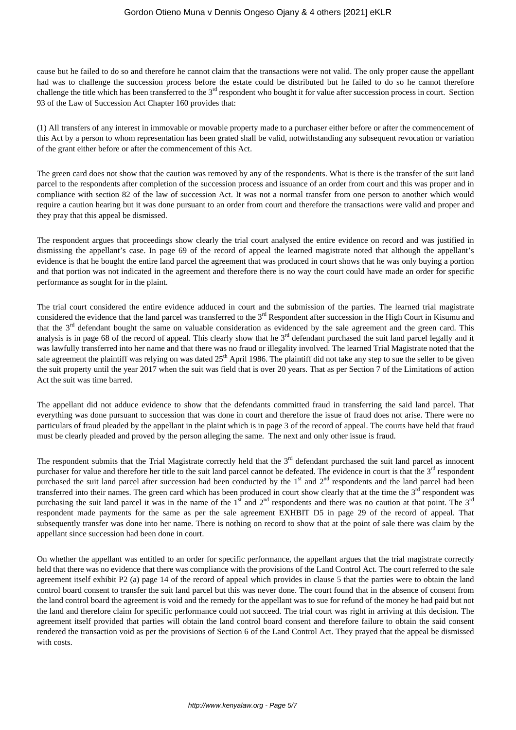cause but he failed to do so and therefore he cannot claim that the transactions were not valid. The only proper cause the appellant had was to challenge the succession process before the estate could be distributed but he failed to do so he cannot therefore challenge the title which has been transferred to the  $3<sup>rd</sup>$  respondent who bought it for value after succession process in court. Section 93 of the Law of Succession Act Chapter 160 provides that:

(1) All transfers of any interest in immovable or movable property made to a purchaser either before or after the commencement of this Act by a person to whom representation has been grated shall be valid, notwithstanding any subsequent revocation or variation of the grant either before or after the commencement of this Act.

The green card does not show that the caution was removed by any of the respondents. What is there is the transfer of the suit land parcel to the respondents after completion of the succession process and issuance of an order from court and this was proper and in compliance with section 82 of the law of succession Act. It was not a normal transfer from one person to another which would require a caution hearing but it was done pursuant to an order from court and therefore the transactions were valid and proper and they pray that this appeal be dismissed.

The respondent argues that proceedings show clearly the trial court analysed the entire evidence on record and was justified in dismissing the appellant's case. In page 69 of the record of appeal the learned magistrate noted that although the appellant's evidence is that he bought the entire land parcel the agreement that was produced in court shows that he was only buying a portion and that portion was not indicated in the agreement and therefore there is no way the court could have made an order for specific performance as sought for in the plaint.

The trial court considered the entire evidence adduced in court and the submission of the parties. The learned trial magistrate considered the evidence that the land parcel was transferred to the 3<sup>rd</sup> Respondent after succession in the High Court in Kisumu and that the  $3<sup>rd</sup>$  defendant bought the same on valuable consideration as evidenced by the sale agreement and the green card. This analysis is in page 68 of the record of appeal. This clearly show that he  $3<sup>rd</sup>$  defendant purchased the suit land parcel legally and it was lawfully transferred into her name and that there was no fraud or illegality involved. The learned Trial Magistrate noted that the sale agreement the plaintiff was relying on was dated 25<sup>th</sup> April 1986. The plaintiff did not take any step to sue the seller to be given the suit property until the year 2017 when the suit was field that is over 20 years. That as per Section 7 of the Limitations of action Act the suit was time barred.

The appellant did not adduce evidence to show that the defendants committed fraud in transferring the said land parcel. That everything was done pursuant to succession that was done in court and therefore the issue of fraud does not arise. There were no particulars of fraud pleaded by the appellant in the plaint which is in page 3 of the record of appeal. The courts have held that fraud must be clearly pleaded and proved by the person alleging the same. The next and only other issue is fraud.

The respondent submits that the Trial Magistrate correctly held that the  $3<sup>rd</sup>$  defendant purchased the suit land parcel as innocent purchaser for value and therefore her title to the suit land parcel cannot be defeated. The evidence in court is that the 3<sup>rd</sup> respondent purchased the suit land parcel after succession had been conducted by the 1<sup>st</sup> and 2<sup>nd</sup> respondents and the land parcel had been transferred into their names. The green card which has been produced in court show clearly that at the time the  $3<sup>rd</sup>$  respondent was purchasing the suit land parcel it was in the name of the  $1<sup>st</sup>$  and  $2<sup>nd</sup>$  respondents and there was no caution at that point. The  $3<sup>rd</sup>$ respondent made payments for the same as per the sale agreement EXHBIT D5 in page 29 of the record of appeal. That subsequently transfer was done into her name. There is nothing on record to show that at the point of sale there was claim by the appellant since succession had been done in court.

On whether the appellant was entitled to an order for specific performance, the appellant argues that the trial magistrate correctly held that there was no evidence that there was compliance with the provisions of the Land Control Act. The court referred to the sale agreement itself exhibit P2 (a) page 14 of the record of appeal which provides in clause 5 that the parties were to obtain the land control board consent to transfer the suit land parcel but this was never done. The court found that in the absence of consent from the land control board the agreement is void and the remedy for the appellant was to sue for refund of the money he had paid but not the land and therefore claim for specific performance could not succeed. The trial court was right in arriving at this decision. The agreement itself provided that parties will obtain the land control board consent and therefore failure to obtain the said consent rendered the transaction void as per the provisions of Section 6 of the Land Control Act. They prayed that the appeal be dismissed with costs.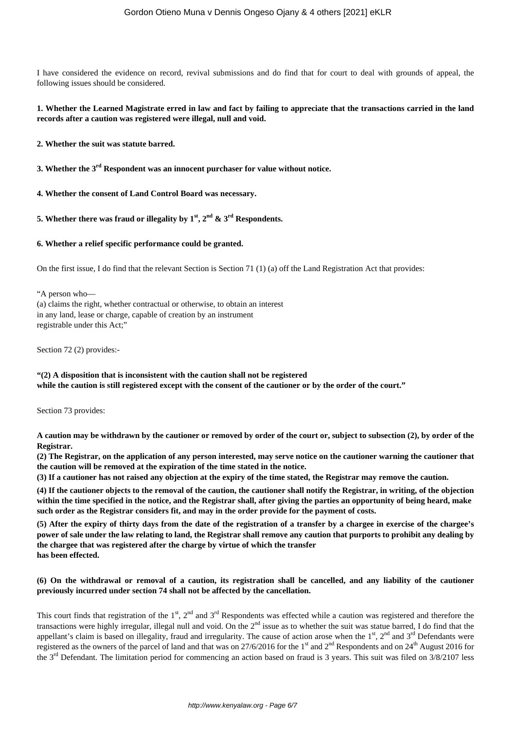I have considered the evidence on record, revival submissions and do find that for court to deal with grounds of appeal, the following issues should be considered.

#### **1. Whether the Learned Magistrate erred in law and fact by failing to appreciate that the transactions carried in the land records after a caution was registered were illegal, null and void.**

**2. Whether the suit was statute barred.**

**3. Whether the 3rd Respondent was an innocent purchaser for value without notice.**

**4. Whether the consent of Land Control Board was necessary.**

**5. Whether there was fraud or illegality by**  $1^{st}$ **,**  $2^{nd}$  **&**  $3^{rd}$  **Respondents.** 

#### **6. Whether a relief specific performance could be granted.**

On the first issue, I do find that the relevant Section is Section 71 (1) (a) off the Land Registration Act that provides:

"A person who— (a) claims the right, whether contractual or otherwise, to obtain an interest in any land, lease or charge, capable of creation by an instrument registrable under this Act;"

Section 72 (2) provides:-

## **"(2) A disposition that is inconsistent with the caution shall not be registered while the caution is still registered except with the consent of the cautioner or by the order of the court."**

Section 73 provides:

**A caution may be withdrawn by the cautioner or removed by order of the court or, subject to subsection (2), by order of the Registrar.**

**(2) The Registrar, on the application of any person interested, may serve notice on the cautioner warning the cautioner that the caution will be removed at the expiration of the time stated in the notice.**

**(3) If a cautioner has not raised any objection at the expiry of the time stated, the Registrar may remove the caution.**

**(4) If the cautioner objects to the removal of the caution, the cautioner shall notify the Registrar, in writing, of the objection within the time specified in the notice, and the Registrar shall, after giving the parties an opportunity of being heard, make such order as the Registrar considers fit, and may in the order provide for the payment of costs.**

**(5) After the expiry of thirty days from the date of the registration of a transfer by a chargee in exercise of the chargee's power of sale under the law relating to land, the Registrar shall remove any caution that purports to prohibit any dealing by the chargee that was registered after the charge by virtue of which the transfer has been effected.**

#### **(6) On the withdrawal or removal of a caution, its registration shall be cancelled, and any liability of the cautioner previously incurred under section 74 shall not be affected by the cancellation.**

This court finds that registration of the  $1<sup>st</sup>$ ,  $2<sup>nd</sup>$  and  $3<sup>rd</sup>$  Respondents was effected while a caution was registered and therefore the transactions were highly irregular, illegal null and void. On the 2<sup>nd</sup> issue as to whether the suit was statue barred, I do find that the appellant's claim is based on illegality, fraud and irregularity. The cause of action arose when the  $1<sup>st</sup>$ ,  $2<sup>nd</sup>$  and  $3<sup>rd</sup>$  Defendants were registered as the owners of the parcel of land and that was on  $27/6/2016$  for the 1<sup>st</sup> and  $2<sup>nd</sup>$  Respondents and on  $24<sup>th</sup>$  August 2016 for the 3<sup>rd</sup> Defendant. The limitation period for commencing an action based on fraud is 3 years. This suit was filed on 3/8/2107 less